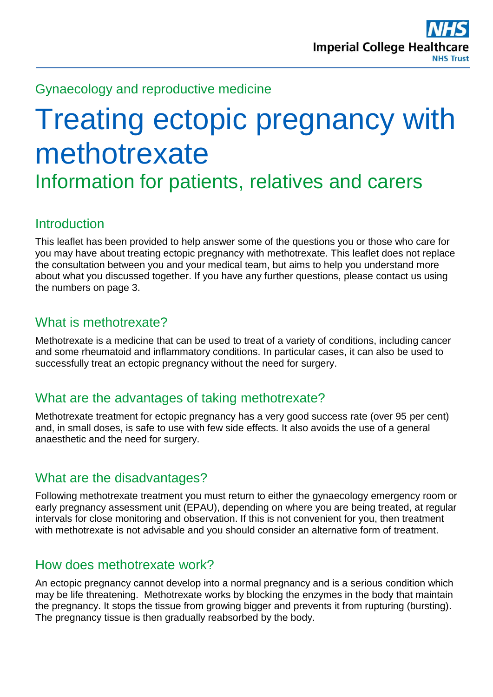## Gynaecology and reproductive medicine

# Treating ectopic pregnancy with methotrexate

Information for patients, relatives and carers

## **Introduction**

This leaflet has been provided to help answer some of the questions you or those who care for you may have about treating ectopic pregnancy with methotrexate. This leaflet does not replace the consultation between you and your medical team, but aims to help you understand more about what you discussed together. If you have any further questions, please contact us using the numbers on page 3.

## What is methotrexate?

Methotrexate is a medicine that can be used to treat of a variety of conditions, including cancer and some rheumatoid and inflammatory conditions. In particular cases, it can also be used to successfully treat an ectopic pregnancy without the need for surgery.

## What are the advantages of taking methotrexate?

Methotrexate treatment for ectopic pregnancy has a very good success rate (over 95 per cent) and, in small doses, is safe to use with few side effects. It also avoids the use of a general anaesthetic and the need for surgery.

## What are the disadvantages?

Following methotrexate treatment you must return to either the gynaecology emergency room or early pregnancy assessment unit (EPAU), depending on where you are being treated, at regular intervals for close monitoring and observation. If this is not convenient for you, then treatment with methotrexate is not advisable and you should consider an alternative form of treatment.

## How does methotrexate work?

An ectopic pregnancy cannot develop into a normal pregnancy and is a serious condition which may be life threatening. Methotrexate works by blocking the enzymes in the body that maintain the pregnancy. It stops the tissue from growing bigger and prevents it from rupturing (bursting). The pregnancy tissue is then gradually reabsorbed by the body.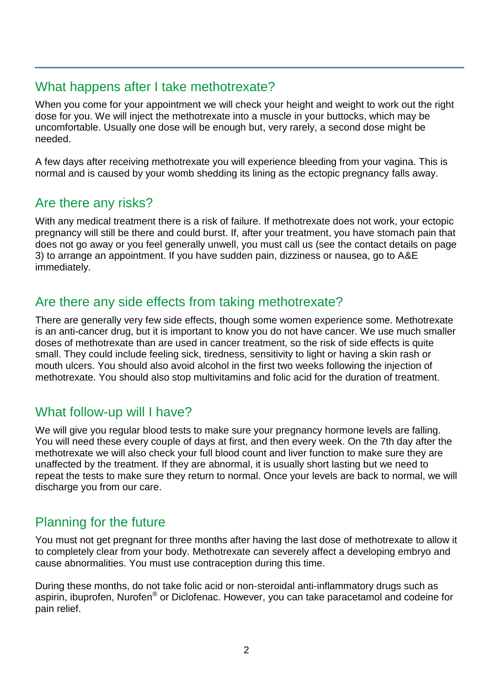## What happens after I take methotrexate?

When you come for your appointment we will check your height and weight to work out the right dose for you. We will inject the methotrexate into a muscle in your buttocks, which may be uncomfortable. Usually one dose will be enough but, very rarely, a second dose might be needed.

A few days after receiving methotrexate you will experience bleeding from your vagina. This is normal and is caused by your womb shedding its lining as the ectopic pregnancy falls away.

## Are there any risks?

With any medical treatment there is a risk of failure. If methotrexate does not work, your ectopic pregnancy will still be there and could burst. If, after your treatment, you have stomach pain that does not go away or you feel generally unwell, you must call us (see the contact details on page 3) to arrange an appointment. If you have sudden pain, dizziness or nausea, go to A&E immediately.

#### Are there any side effects from taking methotrexate?

There are generally very few side effects, though some women experience some. Methotrexate is an anti-cancer drug, but it is important to know you do not have cancer. We use much smaller doses of methotrexate than are used in cancer treatment, so the risk of side effects is quite small. They could include feeling sick, tiredness, sensitivity to light or having a skin rash or mouth ulcers. You should also avoid alcohol in the first two weeks following the injection of methotrexate. You should also stop multivitamins and folic acid for the duration of treatment.

## What follow-up will I have?

We will give you regular blood tests to make sure your pregnancy hormone levels are falling. You will need these every couple of days at first, and then every week. On the 7th day after the methotrexate we will also check your full blood count and liver function to make sure they are unaffected by the treatment. If they are abnormal, it is usually short lasting but we need to repeat the tests to make sure they return to normal. Once your levels are back to normal, we will discharge you from our care.

## Planning for the future

You must not get pregnant for three months after having the last dose of methotrexate to allow it to completely clear from your body. Methotrexate can severely affect a developing embryo and cause abnormalities. You must use contraception during this time.

During these months, do not take folic acid or non-steroidal anti-inflammatory drugs such as aspirin, ibuprofen, Nurofen® or Diclofenac. However, you can take paracetamol and codeine for pain relief.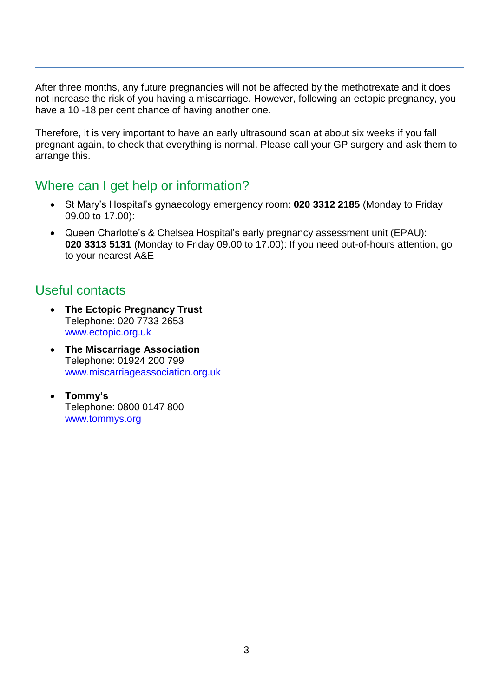After three months, any future pregnancies will not be affected by the methotrexate and it does not increase the risk of you having a miscarriage. However, following an ectopic pregnancy, you have a 10 -18 per cent chance of having another one.

Therefore, it is very important to have an early ultrasound scan at about six weeks if you fall pregnant again, to check that everything is normal. Please call your GP surgery and ask them to arrange this.

#### Where can I get help or information?

- St Mary's Hospital's gynaecology emergency room: **020 3312 2185** (Monday to Friday 09.00 to 17.00):
- Queen Charlotte's & Chelsea Hospital's early pregnancy assessment unit (EPAU): **020 3313 5131** (Monday to Friday 09.00 to 17.00): If you need out-of-hours attention, go to your nearest A&E

## Useful contacts

- **The Ectopic Pregnancy Trust** Telephone: 020 7733 2653 [www.ectopic.org.uk](http://www.ectopic.org.uk/)
- **The Miscarriage Association** Telephone: 01924 200 799 [www.miscarriageassociation.org.uk](http://www.miscarriageassociation.org.uk/)
- **Tommy's** Telephone: 0800 0147 800 [www.tommys.org](http://www.tommys.org/)